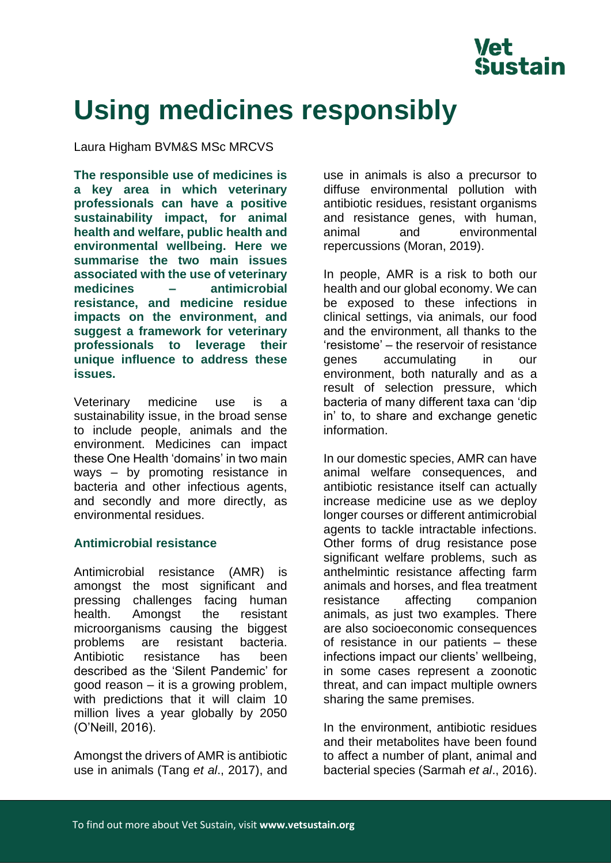

# **Using medicines responsibly**

Laura Higham BVM&S MSc MRCVS

**The responsible use of medicines is a key area in which veterinary professionals can have a positive sustainability impact, for animal health and welfare, public health and environmental wellbeing. Here we summarise the two main issues associated with the use of veterinary medicines – antimicrobial resistance, and medicine residue impacts on the environment, and suggest a framework for veterinary professionals to leverage their unique influence to address these issues.**

Veterinary medicine use is a sustainability issue, in the broad sense to include people, animals and the environment. Medicines can impact these One Health 'domains' in two main ways – by promoting resistance in bacteria and other infectious agents, and secondly and more directly, as environmental residues.

# **Antimicrobial resistance**

Antimicrobial resistance (AMR) is amongst the most significant and pressing challenges facing human health. Amongst the resistant microorganisms causing the biggest problems are resistant bacteria. Antibiotic resistance has been described as the 'Silent Pandemic' for good reason – it is a growing problem, with predictions that it will claim 10 million lives a year globally by 2050 (O'Neill, 2016).

Amongst the drivers of AMR is antibiotic use in animals (Tang *et al*., 2017), and use in animals is also a precursor to diffuse environmental pollution with antibiotic residues, resistant organisms and resistance genes, with human, animal and environmental repercussions (Moran, 2019).

In people, AMR is a risk to both our health and our global economy. We can be exposed to these infections in clinical settings, via animals, our food and the environment, all thanks to the 'resistome' – the reservoir of resistance genes accumulating in our environment, both naturally and as a result of selection pressure, which bacteria of many different taxa can 'dip in' to, to share and exchange genetic information.

In our domestic species, AMR can have animal welfare consequences, and antibiotic resistance itself can actually increase medicine use as we deploy longer courses or different antimicrobial agents to tackle intractable infections. Other forms of drug resistance pose significant welfare problems, such as anthelmintic resistance affecting farm animals and horses, and flea treatment resistance affecting companion animals, as just two examples. There are also socioeconomic consequences of resistance in our patients – these infections impact our clients' wellbeing, in some cases represent a zoonotic threat, and can impact multiple owners sharing the same premises.

In the environment, antibiotic residues and their metabolites have been found to affect a number of plant, animal and bacterial species (Sarmah *et al*., 2016).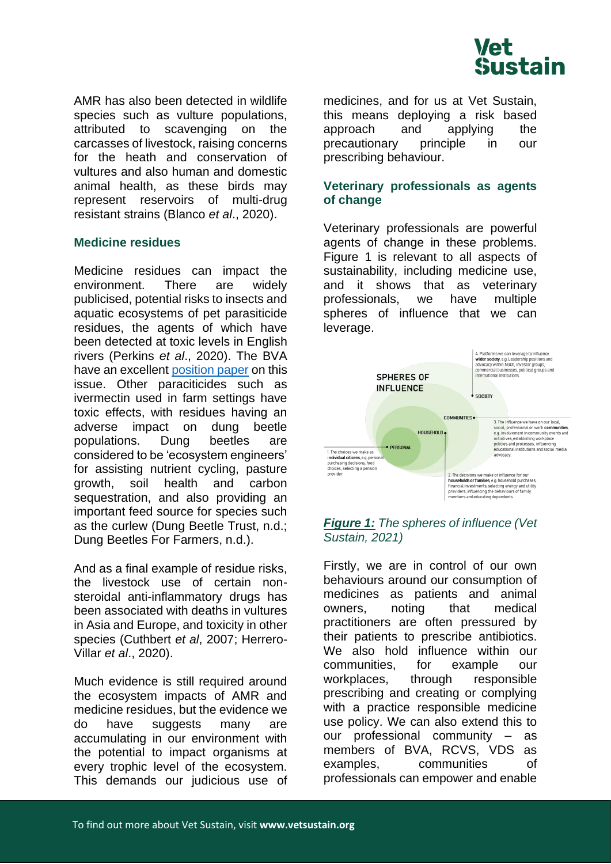

AMR has also been detected in wildlife species such as vulture populations, attributed to scavenging on the carcasses of livestock, raising concerns for the heath and conservation of vultures and also human and domestic animal health, as these birds may represent reservoirs of multi-drug resistant strains (Blanco *et al*., 2020).

## **Medicine residues**

Medicine residues can impact the environment. There are widely publicised, potential risks to insects and aquatic ecosystems of pet parasiticide residues, the agents of which have been detected at toxic levels in English rivers (Perkins *et al*., 2020). The BVA have an excellent [position paper](https://www.bva.co.uk/take-action/our-policies/responsible-use-of-parasiticides-for-cats-and-dogs/) on this issue. Other paraciticides such as ivermectin used in farm settings have toxic effects, with residues having an adverse impact on dung beetle populations. Dung beetles are considered to be 'ecosystem engineers' for assisting nutrient cycling, pasture growth, soil health and carbon sequestration, and also providing an important feed source for species such as the curlew (Dung Beetle Trust, n.d.; Dung Beetles For Farmers, n.d.).

And as a final example of residue risks, the livestock use of certain nonsteroidal anti-inflammatory drugs has been associated with deaths in vultures in Asia and Europe, and toxicity in other species (Cuthbert *et al*, 2007; Herrero-Villar *et al*., 2020).

Much evidence is still required around the ecosystem impacts of AMR and medicine residues, but the evidence we do have suggests many are accumulating in our environment with the potential to impact organisms at every trophic level of the ecosystem. This demands our judicious use of medicines, and for us at Vet Sustain, this means deploying a risk based approach and applying the precautionary principle in our prescribing behaviour.

## **Veterinary professionals as agents of change**

Veterinary professionals are powerful agents of change in these problems. Figure 1 is relevant to all aspects of sustainability, including medicine use, and it shows that as veterinary professionals, we have multiple spheres of influence that we can leverage.



## *Figure 1: The spheres of influence (Vet Sustain, 2021)*

Firstly, we are in control of our own behaviours around our consumption of medicines as patients and animal owners, noting that medical practitioners are often pressured by their patients to prescribe antibiotics. We also hold influence within our communities, for example our workplaces, through responsible prescribing and creating or complying with a practice responsible medicine use policy. We can also extend this to our professional community – as members of BVA, RCVS, VDS as examples, communities of professionals can empower and enable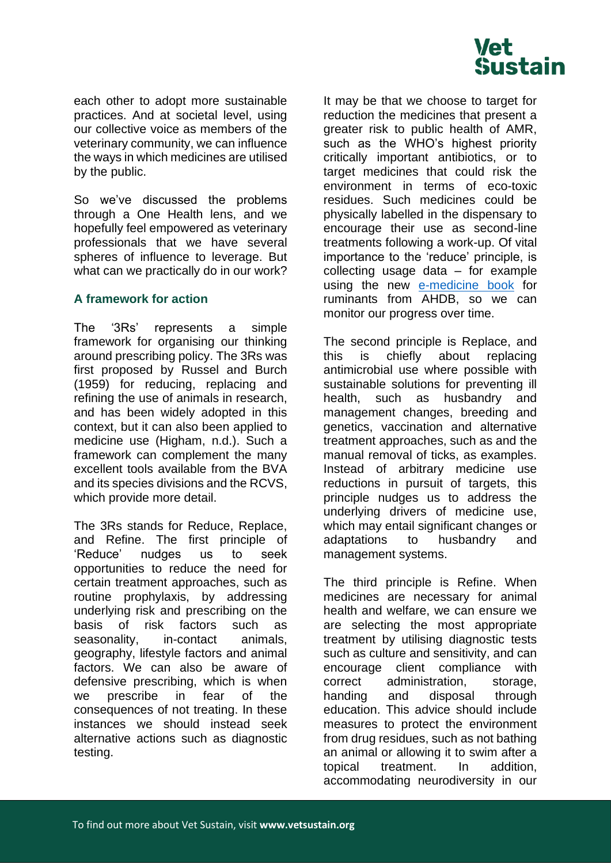

each other to adopt more sustainable practices. And at societal level, using our collective voice as members of the veterinary community, we can influence the ways in which medicines are utilised by the public.

So we've discussed the problems through a One Health lens, and we hopefully feel empowered as veterinary professionals that we have several spheres of influence to leverage. But what can we practically do in our work?

## **A framework for action**

The '3Rs' represents a simple framework for organising our thinking around prescribing policy. The 3Rs was first proposed by Russel and Burch (1959) for reducing, replacing and refining the use of animals in research, and has been widely adopted in this context, but it can also been applied to medicine use (Higham, n.d.). Such a framework can complement the many excellent tools available from the BVA and its species divisions and the RCVS, which provide more detail.

The 3Rs stands for Reduce, Replace, and Refine. The first principle of 'Reduce' nudges us to seek opportunities to reduce the need for certain treatment approaches, such as routine prophylaxis, by addressing underlying risk and prescribing on the basis of risk factors such as seasonality, in-contact animals, geography, lifestyle factors and animal factors. We can also be aware of defensive prescribing, which is when we prescribe in fear of the consequences of not treating. In these instances we should instead seek alternative actions such as diagnostic testing.

It may be that we choose to target for reduction the medicines that present a greater risk to public health of AMR, such as the WHO's highest priority critically important antibiotics, or to target medicines that could risk the environment in terms of eco-toxic residues. Such medicines could be physically labelled in the dispensary to encourage their use as second-line treatments following a work-up. Of vital importance to the 'reduce' principle, is collecting usage data – for example using the new [e-medicine book](https://ahdb.org.uk/medicine-hub) for ruminants from AHDB, so we can monitor our progress over time.

The second principle is Replace, and this is chiefly about replacing antimicrobial use where possible with sustainable solutions for preventing ill health, such as husbandry and management changes, breeding and genetics, vaccination and alternative treatment approaches, such as and the manual removal of ticks, as examples. Instead of arbitrary medicine use reductions in pursuit of targets, this principle nudges us to address the underlying drivers of medicine use, which may entail significant changes or adaptations to husbandry and management systems.

The third principle is Refine. When medicines are necessary for animal health and welfare, we can ensure we are selecting the most appropriate treatment by utilising diagnostic tests such as culture and sensitivity, and can encourage client compliance with correct administration, storage, handing and disposal through education. This advice should include measures to protect the environment from drug residues, such as not bathing an animal or allowing it to swim after a topical treatment. In addition, accommodating neurodiversity in our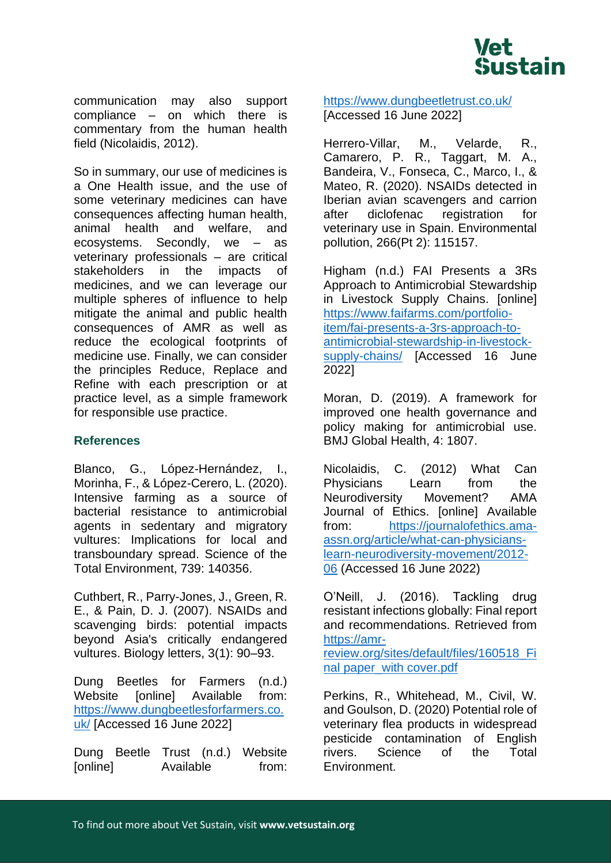

communication may also support compliance – on which there is commentary from the human health field (Nicolaidis, 2012).

So in summary, our use of medicines is a One Health issue, and the use of some veterinary medicines can have consequences affecting human health, animal health and welfare, and ecosystems. Secondly, we – as veterinary professionals – are critical stakeholders in the impacts of medicines, and we can leverage our multiple spheres of influence to help mitigate the animal and public health consequences of AMR as well as reduce the ecological footprints of medicine use. Finally, we can consider the principles Reduce, Replace and Refine with each prescription or at practice level, as a simple framework for responsible use practice.

# **References**

Blanco, G., López-Hernández, I., Morinha, F., & López-Cerero, L. (2020). Intensive farming as a source of bacterial resistance to antimicrobial agents in sedentary and migratory vultures: Implications for local and transboundary spread. Science of the Total Environment, 739: 140356.

Cuthbert, R., Parry-Jones, J., Green, R. E., & Pain, D. J. (2007). NSAIDs and scavenging birds: potential impacts beyond Asia's critically endangered vultures. Biology letters, 3(1): 90–93.

Dung Beetles for Farmers (n.d.) Website [online] Available from: [https://www.dungbeetlesforfarmers.co.](https://www.dungbeetlesforfarmers.co.uk/) [uk/](https://www.dungbeetlesforfarmers.co.uk/) [Accessed 16 June 2022]

Dung Beetle Trust (n.d.) Website [online] Available from: <https://www.dungbeetletrust.co.uk/> [Accessed 16 June 2022]

Herrero-Villar, M., Velarde, R., Camarero, P. R., Taggart, M. A., Bandeira, V., Fonseca, C., Marco, I., & Mateo, R. (2020). NSAIDs detected in Iberian avian scavengers and carrion after diclofenac registration for veterinary use in Spain. Environmental pollution, 266(Pt 2): 115157.

Higham (n.d.) FAI Presents a 3Rs Approach to Antimicrobial Stewardship in Livestock Supply Chains. [online] [https://www.faifarms.com/portfolio](https://www.faifarms.com/portfolio-item/fai-presents-a-3rs-approach-to-antimicrobial-stewardship-in-livestock-supply-chains/)[item/fai-presents-a-3rs-approach-to](https://www.faifarms.com/portfolio-item/fai-presents-a-3rs-approach-to-antimicrobial-stewardship-in-livestock-supply-chains/)[antimicrobial-stewardship-in-livestock](https://www.faifarms.com/portfolio-item/fai-presents-a-3rs-approach-to-antimicrobial-stewardship-in-livestock-supply-chains/)[supply-chains/](https://www.faifarms.com/portfolio-item/fai-presents-a-3rs-approach-to-antimicrobial-stewardship-in-livestock-supply-chains/) [Accessed 16 June 2022]

Moran, D. (2019). A framework for improved one health governance and policy making for antimicrobial use. BMJ Global Health, 4: 1807.

Nicolaidis, C. (2012) What Can Physicians Learn from the Neurodiversity Movement? AMA Journal of Ethics. [online] Available from: [https://journalofethics.ama](https://journalofethics.ama-assn.org/article/what-can-physicians-learn-neurodiversity-movement/2012-06)[assn.org/article/what-can-physicians](https://journalofethics.ama-assn.org/article/what-can-physicians-learn-neurodiversity-movement/2012-06)[learn-neurodiversity-movement/2012-](https://journalofethics.ama-assn.org/article/what-can-physicians-learn-neurodiversity-movement/2012-06) [06](https://journalofethics.ama-assn.org/article/what-can-physicians-learn-neurodiversity-movement/2012-06) (Accessed 16 June 2022)

O'Neill, J. (2016). Tackling drug resistant infections globally: Final report and recommendations. Retrieved from [https://amr-](https://amr-review.org/sites/default/files/160518_Final%20paper_with%20cover.pdf)

[review.org/sites/default/files/160518\\_Fi](https://amr-review.org/sites/default/files/160518_Final%20paper_with%20cover.pdf) [nal paper\\_with cover.pdf](https://amr-review.org/sites/default/files/160518_Final%20paper_with%20cover.pdf)

Perkins, R., Whitehead, M., Civil, W. and Goulson, D. (2020) Potential role of veterinary flea products in widespread pesticide contamination of English rivers. Science of the Total Environment.